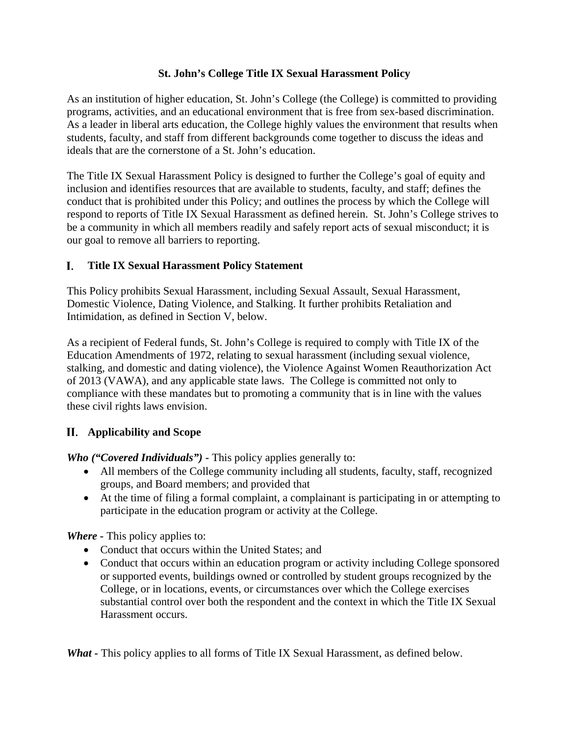# **St. John's College Title IX Sexual Harassment Policy**

As an institution of higher education, St. John's College (the College) is committed to providing programs, activities, and an educational environment that is free from sex-based discrimination. As a leader in liberal arts education, the College highly values the environment that results when students, faculty, and staff from different backgrounds come together to discuss the ideas and ideals that are the cornerstone of a St. John's education.

The Title IX Sexual Harassment Policy is designed to further the College's goal of equity and inclusion and identifies resources that are available to students, faculty, and staff; defines the conduct that is prohibited under this Policy; and outlines the process by which the College will respond to reports of Title IX Sexual Harassment as defined herein. St. John's College strives to be a community in which all members readily and safely report acts of sexual misconduct; it is our goal to remove all barriers to reporting.

#### I. **Title IX Sexual Harassment Policy Statement**

This Policy prohibits Sexual Harassment, including Sexual Assault, Sexual Harassment, Domestic Violence, Dating Violence, and Stalking. It further prohibits Retaliation and Intimidation, as defined in Section V, below.

As a recipient of Federal funds, St. John's College is required to comply with Title IX of the Education Amendments of 1972, relating to sexual harassment (including sexual violence, stalking, and domestic and dating violence), the Violence Against Women Reauthorization Act of 2013 (VAWA), and any applicable state laws. The College is committed not only to compliance with these mandates but to promoting a community that is in line with the values these civil rights laws envision.

# **Applicability and Scope**

*Who ("Covered Individuals") -* This policy applies generally to:

- All members of the College community including all students, faculty, staff, recognized groups, and Board members; and provided that
- At the time of filing a formal complaint, a complainant is participating in or attempting to participate in the education program or activity at the College.

*Where -* This policy applies to:

- Conduct that occurs within the United States; and
- Conduct that occurs within an education program or activity including College sponsored or supported events, buildings owned or controlled by student groups recognized by the College, or in locations, events, or circumstances over which the College exercises substantial control over both the respondent and the context in which the Title IX Sexual Harassment occurs.

What - This policy applies to all forms of Title IX Sexual Harassment, as defined below.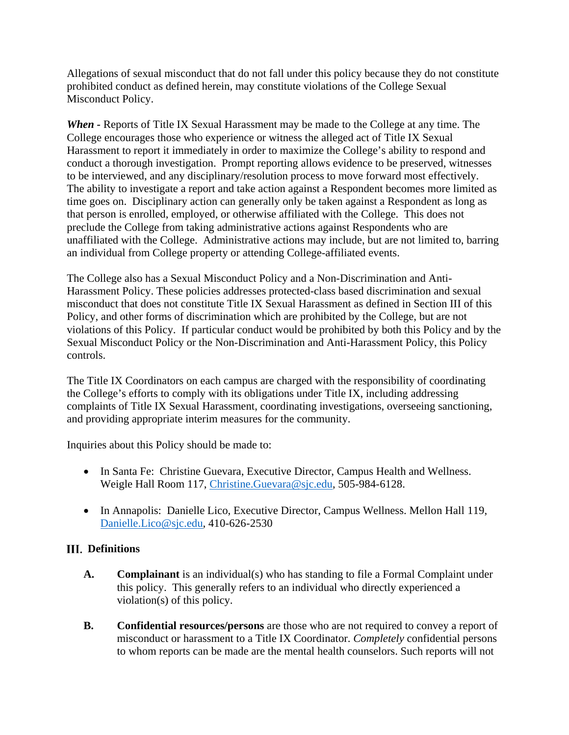Allegations of sexual misconduct that do not fall under this policy because they do not constitute prohibited conduct as defined herein, may constitute violations of the College Sexual Misconduct Policy.

*When -* Reports of Title IX Sexual Harassment may be made to the College at any time. The College encourages those who experience or witness the alleged act of Title IX Sexual Harassment to report it immediately in order to maximize the College's ability to respond and conduct a thorough investigation. Prompt reporting allows evidence to be preserved, witnesses to be interviewed, and any disciplinary/resolution process to move forward most effectively. The ability to investigate a report and take action against a Respondent becomes more limited as time goes on. Disciplinary action can generally only be taken against a Respondent as long as that person is enrolled, employed, or otherwise affiliated with the College. This does not preclude the College from taking administrative actions against Respondents who are unaffiliated with the College. Administrative actions may include, but are not limited to, barring an individual from College property or attending College-affiliated events.

The College also has a Sexual Misconduct Policy and a Non-Discrimination and Anti-Harassment Policy. These policies addresses protected-class based discrimination and sexual misconduct that does not constitute Title IX Sexual Harassment as defined in Section III of this Policy, and other forms of discrimination which are prohibited by the College, but are not violations of this Policy. If particular conduct would be prohibited by both this Policy and by the Sexual Misconduct Policy or the Non-Discrimination and Anti-Harassment Policy, this Policy controls.

The Title IX Coordinators on each campus are charged with the responsibility of coordinating the College's efforts to comply with its obligations under Title IX, including addressing complaints of Title IX Sexual Harassment, coordinating investigations, overseeing sanctioning, and providing appropriate interim measures for the community.

Inquiries about this Policy should be made to:

- In Santa Fe: Christine Guevara, Executive Director, Campus Health and Wellness. Weigle Hall Room 117, [Christine.Guevara@sjc.edu,](mailto:Christine.Guevara@sjc.edu) 505-984-6128.
- In Annapolis: Danielle Lico, Executive Director, Campus Wellness. Mellon Hall 119, [Danielle.Lico@sjc.edu,](mailto:Danielle.Lico@sjc.edu) 410-626-2530

# **Definitions**

- **A. Complainant** is an individual(s) who has standing to file a Formal Complaint under this policy. This generally refers to an individual who directly experienced a violation(s) of this policy.
- **B. Confidential resources/persons** are those who are not required to convey a report of misconduct or harassment to a Title IX Coordinator. *Completely* confidential persons to whom reports can be made are the mental health counselors. Such reports will not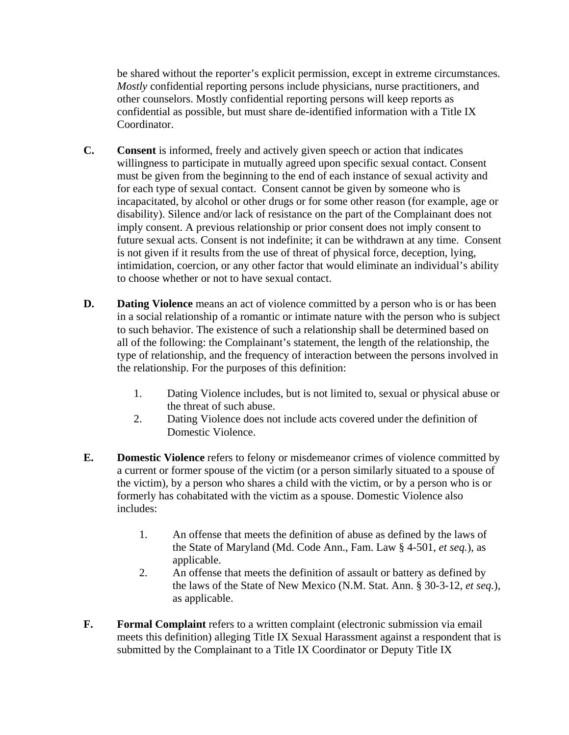be shared without the reporter's explicit permission, except in extreme circumstances. *Mostly* confidential reporting persons include physicians, nurse practitioners, and other counselors. Mostly confidential reporting persons will keep reports as confidential as possible, but must share de-identified information with a Title IX Coordinator.

- **C. Consent** is informed, freely and actively given speech or action that indicates willingness to participate in mutually agreed upon specific sexual contact. Consent must be given from the beginning to the end of each instance of sexual activity and for each type of sexual contact. Consent cannot be given by someone who is incapacitated, by alcohol or other drugs or for some other reason (for example, age or disability). Silence and/or lack of resistance on the part of the Complainant does not imply consent. A previous relationship or prior consent does not imply consent to future sexual acts. Consent is not indefinite; it can be withdrawn at any time. Consent is not given if it results from the use of threat of physical force, deception, lying, intimidation, coercion, or any other factor that would eliminate an individual's ability to choose whether or not to have sexual contact.
- **D. Dating Violence** means an act of violence committed by a person who is or has been in a social relationship of a romantic or intimate nature with the person who is subject to such behavior. The existence of such a relationship shall be determined based on all of the following: the Complainant's statement, the length of the relationship, the type of relationship, and the frequency of interaction between the persons involved in the relationship. For the purposes of this definition:
	- 1. Dating Violence includes, but is not limited to, sexual or physical abuse or the threat of such abuse.
	- 2. Dating Violence does not include acts covered under the definition of Domestic Violence.
- **E. Domestic Violence** refers to felony or misdemeanor crimes of violence committed by a current or former spouse of the victim (or a person similarly situated to a spouse of the victim), by a person who shares a child with the victim, or by a person who is or formerly has cohabitated with the victim as a spouse. Domestic Violence also includes:
	- 1. An offense that meets the definition of abuse as defined by the laws of the State of Maryland (Md. Code Ann., Fam. Law § 4-501, *et seq.*), as applicable.
	- 2. An offense that meets the definition of assault or battery as defined by the laws of the State of New Mexico (N.M. Stat. Ann. § 30-3-12, *et seq.*), as applicable.
- **F. Formal Complaint** refers to a written complaint (electronic submission via email meets this definition) alleging Title IX Sexual Harassment against a respondent that is submitted by the Complainant to a Title IX Coordinator or Deputy Title IX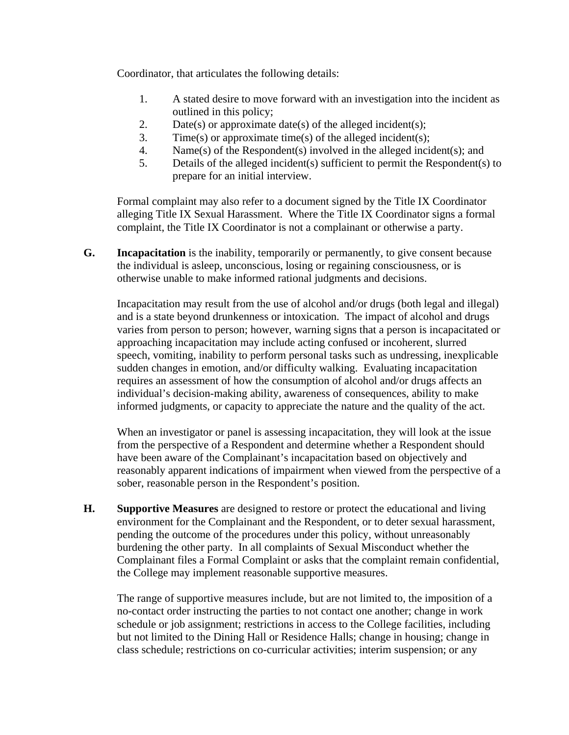Coordinator, that articulates the following details:

- 1. A stated desire to move forward with an investigation into the incident as outlined in this policy;
- 2. Date(s) or approximate date(s) of the alleged incident(s);
- 3. Time(s) or approximate time(s) of the alleged incident(s);
- 4. Name(s) of the Respondent(s) involved in the alleged incident(s); and
- 5. Details of the alleged incident(s) sufficient to permit the Respondent(s) to prepare for an initial interview.

Formal complaint may also refer to a document signed by the Title IX Coordinator alleging Title IX Sexual Harassment. Where the Title IX Coordinator signs a formal complaint, the Title IX Coordinator is not a complainant or otherwise a party.

**G. Incapacitation** is the inability, temporarily or permanently, to give consent because the individual is asleep, unconscious, losing or regaining consciousness, or is otherwise unable to make informed rational judgments and decisions.

Incapacitation may result from the use of alcohol and/or drugs (both legal and illegal) and is a state beyond drunkenness or intoxication. The impact of alcohol and drugs varies from person to person; however, warning signs that a person is incapacitated or approaching incapacitation may include acting confused or incoherent, slurred speech, vomiting, inability to perform personal tasks such as undressing, inexplicable sudden changes in emotion, and/or difficulty walking. Evaluating incapacitation requires an assessment of how the consumption of alcohol and/or drugs affects an individual's decision-making ability, awareness of consequences, ability to make informed judgments, or capacity to appreciate the nature and the quality of the act.

When an investigator or panel is assessing incapacitation, they will look at the issue from the perspective of a Respondent and determine whether a Respondent should have been aware of the Complainant's incapacitation based on objectively and reasonably apparent indications of impairment when viewed from the perspective of a sober, reasonable person in the Respondent's position.

**H. Supportive Measures** are designed to restore or protect the educational and living environment for the Complainant and the Respondent, or to deter sexual harassment, pending the outcome of the procedures under this policy, without unreasonably burdening the other party. In all complaints of Sexual Misconduct whether the Complainant files a Formal Complaint or asks that the complaint remain confidential, the College may implement reasonable supportive measures.

The range of supportive measures include, but are not limited to, the imposition of a no-contact order instructing the parties to not contact one another; change in work schedule or job assignment; restrictions in access to the College facilities, including but not limited to the Dining Hall or Residence Halls; change in housing; change in class schedule; restrictions on co-curricular activities; interim suspension; or any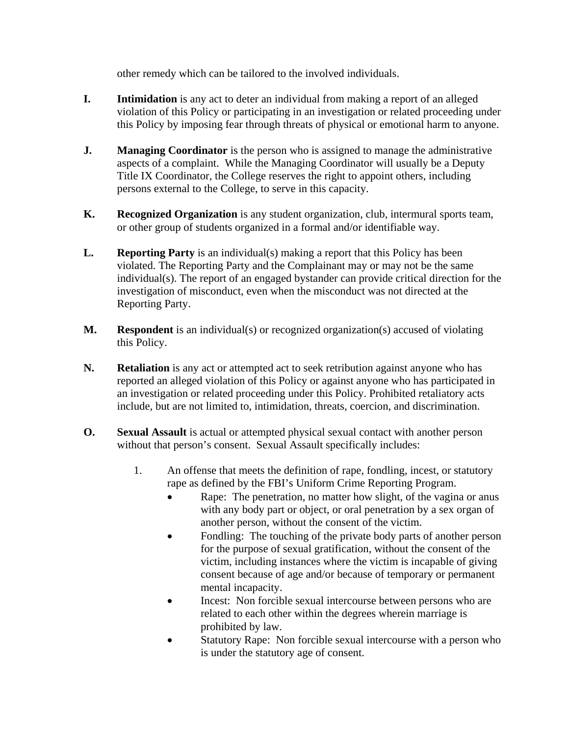other remedy which can be tailored to the involved individuals.

- **I.** Intimidation is any act to deter an individual from making a report of an alleged violation of this Policy or participating in an investigation or related proceeding under this Policy by imposing fear through threats of physical or emotional harm to anyone.
- **J. Managing Coordinator** is the person who is assigned to manage the administrative aspects of a complaint. While the Managing Coordinator will usually be a Deputy Title IX Coordinator, the College reserves the right to appoint others, including persons external to the College, to serve in this capacity.
- **K. Recognized Organization** is any student organization, club, intermural sports team, or other group of students organized in a formal and/or identifiable way.
- **L. Reporting Party** is an individual(s) making a report that this Policy has been violated. The Reporting Party and the Complainant may or may not be the same individual(s). The report of an engaged bystander can provide critical direction for the investigation of misconduct, even when the misconduct was not directed at the Reporting Party.
- **M. Respondent** is an individual(s) or recognized organization(s) accused of violating this Policy.
- **N. Retaliation** is any act or attempted act to seek retribution against anyone who has reported an alleged violation of this Policy or against anyone who has participated in an investigation or related proceeding under this Policy. Prohibited retaliatory acts include, but are not limited to, intimidation, threats, coercion, and discrimination.
- **O. Sexual Assault** is actual or attempted physical sexual contact with another person without that person's consent. Sexual Assault specifically includes:
	- 1. An offense that meets the definition of rape, fondling, incest, or statutory rape as defined by the FBI's Uniform Crime Reporting Program.
		- Rape: The penetration, no matter how slight, of the vagina or anus with any body part or object, or oral penetration by a sex organ of another person, without the consent of the victim.
		- Fondling: The touching of the private body parts of another person for the purpose of sexual gratification, without the consent of the victim, including instances where the victim is incapable of giving consent because of age and/or because of temporary or permanent mental incapacity.
		- Incest: Non forcible sexual intercourse between persons who are related to each other within the degrees wherein marriage is prohibited by law.
		- Statutory Rape: Non forcible sexual intercourse with a person who is under the statutory age of consent.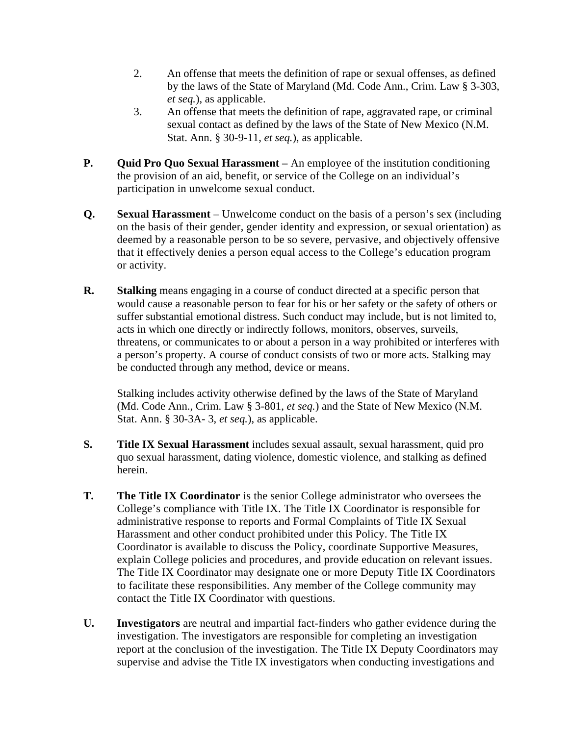- 2. An offense that meets the definition of rape or sexual offenses, as defined by the laws of the State of Maryland (Md. Code Ann., Crim. Law § 3-303, *et seq.*), as applicable.
- 3. An offense that meets the definition of rape, aggravated rape, or criminal sexual contact as defined by the laws of the State of New Mexico (N.M. Stat. Ann. § 30-9-11, *et seq.*), as applicable.
- **P. Quid Pro Quo Sexual Harassment –** An employee of the institution conditioning the provision of an aid, benefit, or service of the College on an individual's participation in unwelcome sexual conduct.
- **Q. Sexual Harassment** Unwelcome conduct on the basis of a person's sex (including on the basis of their gender, gender identity and expression, or sexual orientation) as deemed by a reasonable person to be so severe, pervasive, and objectively offensive that it effectively denies a person equal access to the College's education program or activity.
- **R. Stalking** means engaging in a course of conduct directed at a specific person that would cause a reasonable person to fear for his or her safety or the safety of others or suffer substantial emotional distress. Such conduct may include, but is not limited to, acts in which one directly or indirectly follows, monitors, observes, surveils, threatens, or communicates to or about a person in a way prohibited or interferes with a person's property. A course of conduct consists of two or more acts. Stalking may be conducted through any method, device or means.

Stalking includes activity otherwise defined by the laws of the State of Maryland (Md. Code Ann., Crim. Law § 3-801, *et seq.*) and the State of New Mexico (N.M. Stat. Ann. § 30-3A- 3, *et seq.*), as applicable.

- **S. Title IX Sexual Harassment** includes sexual assault, sexual harassment, quid pro quo sexual harassment, dating violence, domestic violence, and stalking as defined herein.
- **T. The Title IX Coordinator** is the senior College administrator who oversees the College's compliance with Title IX. The Title IX Coordinator is responsible for administrative response to reports and Formal Complaints of Title IX Sexual Harassment and other conduct prohibited under this Policy. The Title IX Coordinator is available to discuss the Policy, coordinate Supportive Measures, explain College policies and procedures, and provide education on relevant issues. The Title IX Coordinator may designate one or more Deputy Title IX Coordinators to facilitate these responsibilities. Any member of the College community may contact the Title IX Coordinator with questions.
- **U. Investigators** are neutral and impartial fact-finders who gather evidence during the investigation. The investigators are responsible for completing an investigation report at the conclusion of the investigation. The Title IX Deputy Coordinators may supervise and advise the Title IX investigators when conducting investigations and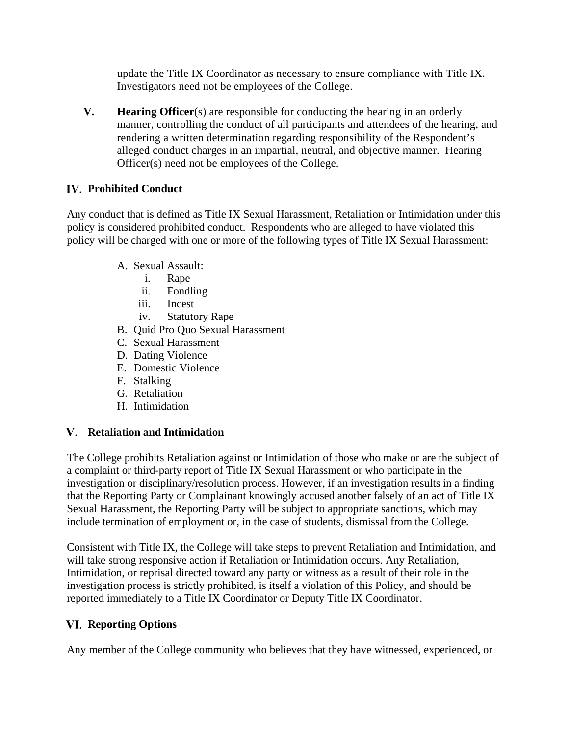update the Title IX Coordinator as necessary to ensure compliance with Title IX. Investigators need not be employees of the College.

**V. Hearing Officer**(s) are responsible for conducting the hearing in an orderly manner, controlling the conduct of all participants and attendees of the hearing, and rendering a written determination regarding responsibility of the Respondent's alleged conduct charges in an impartial, neutral, and objective manner. Hearing Officer(s) need not be employees of the College.

# **Prohibited Conduct**

Any conduct that is defined as Title IX Sexual Harassment, Retaliation or Intimidation under this policy is considered prohibited conduct. Respondents who are alleged to have violated this policy will be charged with one or more of the following types of Title IX Sexual Harassment:

- A. Sexual Assault:
	- i. Rape
	- ii. Fondling
	- iii. Incest
	- iv. Statutory Rape
- B. Quid Pro Quo Sexual Harassment
- C. Sexual Harassment
- D. Dating Violence
- E. Domestic Violence
- F. Stalking
- G. Retaliation
- H. Intimidation

### **Retaliation and Intimidation**

The College prohibits Retaliation against or Intimidation of those who make or are the subject of a complaint or third-party report of Title IX Sexual Harassment or who participate in the investigation or disciplinary/resolution process. However, if an investigation results in a finding that the Reporting Party or Complainant knowingly accused another falsely of an act of Title IX Sexual Harassment, the Reporting Party will be subject to appropriate sanctions, which may include termination of employment or, in the case of students, dismissal from the College.

Consistent with Title IX, the College will take steps to prevent Retaliation and Intimidation, and will take strong responsive action if Retaliation or Intimidation occurs. Any Retaliation, Intimidation, or reprisal directed toward any party or witness as a result of their role in the investigation process is strictly prohibited, is itself a violation of this Policy, and should be reported immediately to a Title IX Coordinator or Deputy Title IX Coordinator.

# **Reporting Options**

Any member of the College community who believes that they have witnessed, experienced, or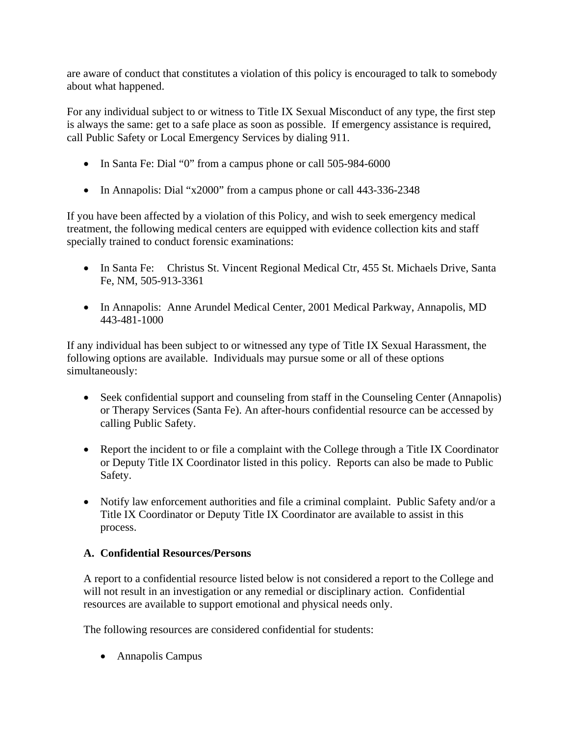are aware of conduct that constitutes a violation of this policy is encouraged to talk to somebody about what happened.

For any individual subject to or witness to Title IX Sexual Misconduct of any type, the first step is always the same: get to a safe place as soon as possible. If emergency assistance is required, call Public Safety or Local Emergency Services by dialing 911.

- In Santa Fe: Dial "0" from a campus phone or call 505-984-6000
- In Annapolis: Dial "x2000" from a campus phone or call 443-336-2348

If you have been affected by a violation of this Policy, and wish to seek emergency medical treatment, the following medical centers are equipped with evidence collection kits and staff specially trained to conduct forensic examinations:

- In Santa Fe: Christus St. Vincent Regional Medical Ctr, 455 St. Michaels Drive, Santa Fe, NM, 505-913-3361
- In Annapolis: Anne Arundel Medical Center, 2001 Medical Parkway, Annapolis, MD 443-481-1000

If any individual has been subject to or witnessed any type of Title IX Sexual Harassment, the following options are available. Individuals may pursue some or all of these options simultaneously:

- Seek confidential support and counseling from staff in the Counseling Center (Annapolis) or Therapy Services (Santa Fe). An after-hours confidential resource can be accessed by calling Public Safety.
- Report the incident to or file a complaint with the College through a Title IX Coordinator or Deputy Title IX Coordinator listed in this policy. Reports can also be made to Public Safety.
- Notify law enforcement authorities and file a criminal complaint. Public Safety and/or a Title IX Coordinator or Deputy Title IX Coordinator are available to assist in this process.

# **A. Confidential Resources/Persons**

A report to a confidential resource listed below is not considered a report to the College and will not result in an investigation or any remedial or disciplinary action. Confidential resources are available to support emotional and physical needs only.

The following resources are considered confidential for students:

• Annapolis Campus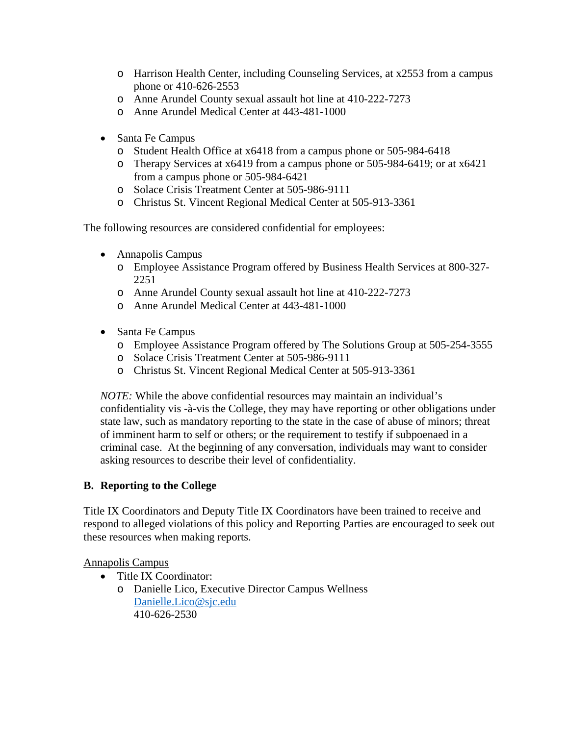- o Harrison Health Center, including Counseling Services, at x2553 from a campus phone or 410-626-2553
- o Anne Arundel County sexual assault hot line at 410-222-7273
- o Anne Arundel Medical Center at 443-481-1000
- Santa Fe Campus
	- o Student Health Office at x6418 from a campus phone or 505-984-6418
	- o Therapy Services at x6419 from a campus phone or 505-984-6419; or at x6421 from a campus phone or 505-984-6421
	- o Solace Crisis Treatment Center at 505-986-9111
	- o Christus St. Vincent Regional Medical Center at 505-913-3361

The following resources are considered confidential for employees:

- Annapolis Campus
	- o Employee Assistance Program offered by Business Health Services at 800-327- 2251
	- o Anne Arundel County sexual assault hot line at 410-222-7273
	- o Anne Arundel Medical Center at 443-481-1000
- Santa Fe Campus
	- o Employee Assistance Program offered by The Solutions Group at 505-254-3555
	- o Solace Crisis Treatment Center at 505-986-9111
	- o Christus St. Vincent Regional Medical Center at 505-913-3361

*NOTE:* While the above confidential resources may maintain an individual's confidentiality vis -à-vis the College, they may have reporting or other obligations under state law, such as mandatory reporting to the state in the case of abuse of minors; threat of imminent harm to self or others; or the requirement to testify if subpoenaed in a criminal case. At the beginning of any conversation, individuals may want to consider asking resources to describe their level of confidentiality.

### **B. Reporting to the College**

Title IX Coordinators and Deputy Title IX Coordinators have been trained to receive and respond to alleged violations of this policy and Reporting Parties are encouraged to seek out these resources when making reports.

### Annapolis Campus

- Title IX Coordinator:
	- o Danielle Lico, Executive Director Campus Wellness [Danielle.Lico@sjc.edu](mailto:Danielle.Lico@sjc.edu) 410-626-2530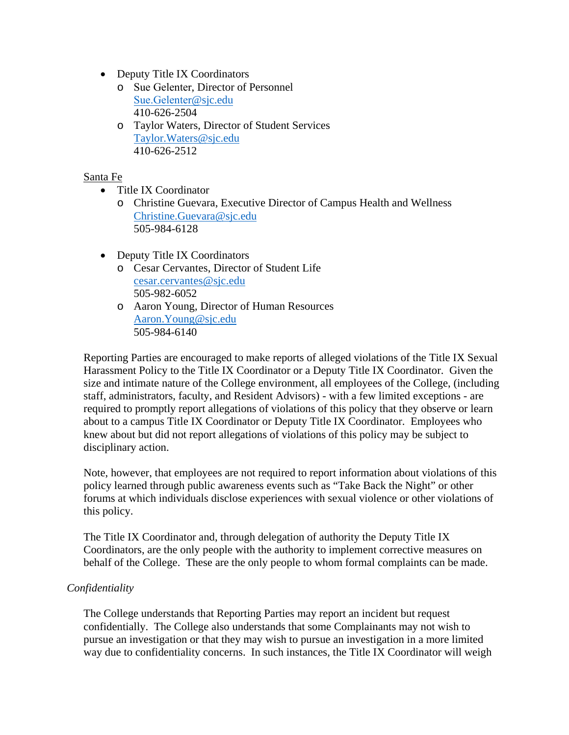- Deputy Title IX Coordinators
	- o Sue Gelenter, Director of Personnel [Sue.Gelenter](mailto:Sue.Gelenter@sjc.edu)@sjc.edu 410-626-2504
	- o Taylor Waters, Director of Student Services [Taylor.Waters@sjc.edu](mailto:Taylor.Waters@sjc.edu) 410-626-2512

### Santa Fe

- Title IX Coordinator
	- o Christine Guevara, Executive Director of Campus Health and Wellness [Christine.Guevara@sjc.edu](mailto:Christine.Guevara@sjc.edu) 505-984-6128
- Deputy Title IX Coordinators
	- o Cesar Cervantes, Director of Student Life [cesar.cervantes@sjc.edu](mailto:cesar.cervantes@sjc.edu) 505-982-6052
	- o Aaron Young, Director of Human Resources [Aaron.Young@sjc.edu](mailto:Aaron.Young@sjc.edu) 505-984-6140

Reporting Parties are encouraged to make reports of alleged violations of the Title IX Sexual Harassment Policy to the Title IX Coordinator or a Deputy Title IX Coordinator. Given the size and intimate nature of the College environment, all employees of the College, (including staff, administrators, faculty, and Resident Advisors) - with a few limited exceptions - are required to promptly report allegations of violations of this policy that they observe or learn about to a campus Title IX Coordinator or Deputy Title IX Coordinator. Employees who knew about but did not report allegations of violations of this policy may be subject to disciplinary action.

Note, however, that employees are not required to report information about violations of this policy learned through public awareness events such as "Take Back the Night" or other forums at which individuals disclose experiences with sexual violence or other violations of this policy.

The Title IX Coordinator and, through delegation of authority the Deputy Title IX Coordinators, are the only people with the authority to implement corrective measures on behalf of the College. These are the only people to whom formal complaints can be made.

### *Confidentiality*

The College understands that Reporting Parties may report an incident but request confidentially. The College also understands that some Complainants may not wish to pursue an investigation or that they may wish to pursue an investigation in a more limited way due to confidentiality concerns. In such instances, the Title IX Coordinator will weigh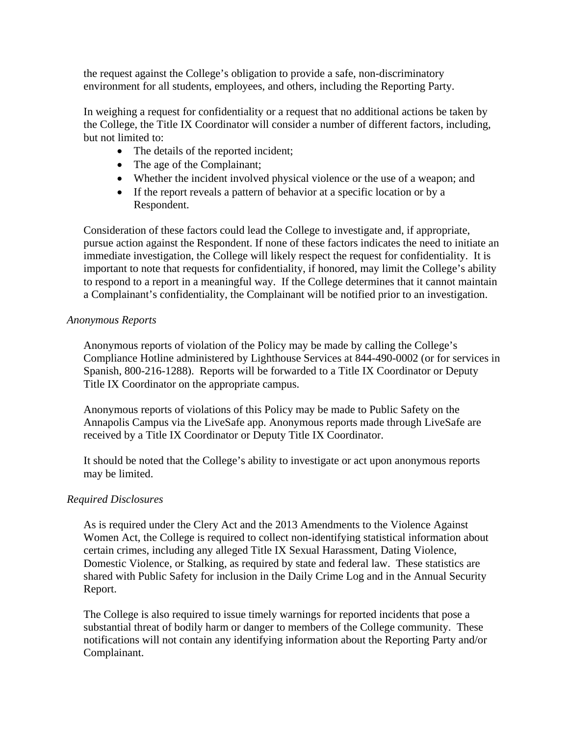the request against the College's obligation to provide a safe, non-discriminatory environment for all students, employees, and others, including the Reporting Party.

In weighing a request for confidentiality or a request that no additional actions be taken by the College, the Title IX Coordinator will consider a number of different factors, including, but not limited to:

- The details of the reported incident;
- The age of the Complainant;
- Whether the incident involved physical violence or the use of a weapon; and
- If the report reveals a pattern of behavior at a specific location or by a Respondent.

Consideration of these factors could lead the College to investigate and, if appropriate, pursue action against the Respondent. If none of these factors indicates the need to initiate an immediate investigation, the College will likely respect the request for confidentiality. It is important to note that requests for confidentiality, if honored, may limit the College's ability to respond to a report in a meaningful way. If the College determines that it cannot maintain a Complainant's confidentiality, the Complainant will be notified prior to an investigation.

### *Anonymous Reports*

Anonymous reports of violation of the Policy may be made by calling the College's Compliance Hotline administered by Lighthouse Services at 844-490-0002 (or for services in Spanish, 800-216-1288). Reports will be forwarded to a Title IX Coordinator or Deputy Title IX Coordinator on the appropriate campus.

Anonymous reports of violations of this Policy may be made to Public Safety on the Annapolis Campus via the LiveSafe app. Anonymous reports made through LiveSafe are received by a Title IX Coordinator or Deputy Title IX Coordinator.

It should be noted that the College's ability to investigate or act upon anonymous reports may be limited.

### *Required Disclosures*

As is required under the Clery Act and the 2013 Amendments to the Violence Against Women Act, the College is required to collect non-identifying statistical information about certain crimes, including any alleged Title IX Sexual Harassment, Dating Violence, Domestic Violence, or Stalking, as required by state and federal law. These statistics are shared with Public Safety for inclusion in the Daily Crime Log and in the Annual Security Report.

The College is also required to issue timely warnings for reported incidents that pose a substantial threat of bodily harm or danger to members of the College community. These notifications will not contain any identifying information about the Reporting Party and/or Complainant.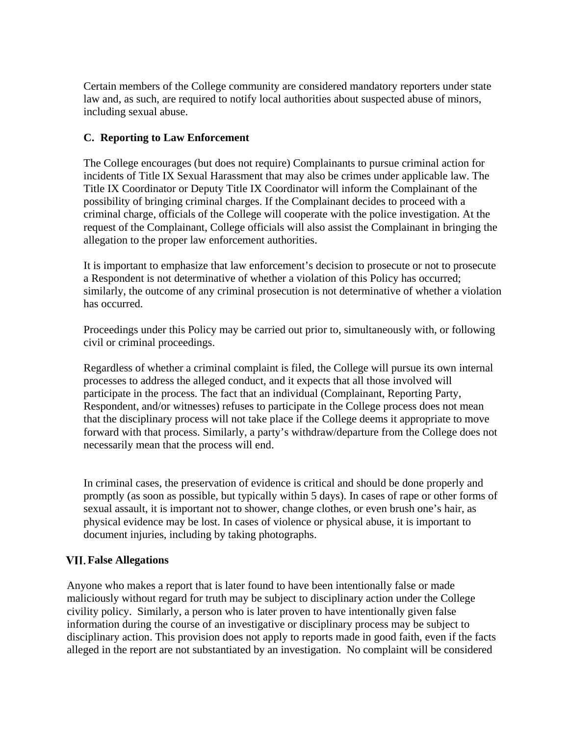Certain members of the College community are considered mandatory reporters under state law and, as such, are required to notify local authorities about suspected abuse of minors, including sexual abuse.

### **C. Reporting to Law Enforcement**

The College encourages (but does not require) Complainants to pursue criminal action for incidents of Title IX Sexual Harassment that may also be crimes under applicable law. The Title IX Coordinator or Deputy Title IX Coordinator will inform the Complainant of the possibility of bringing criminal charges. If the Complainant decides to proceed with a criminal charge, officials of the College will cooperate with the police investigation. At the request of the Complainant, College officials will also assist the Complainant in bringing the allegation to the proper law enforcement authorities.

It is important to emphasize that law enforcement's decision to prosecute or not to prosecute a Respondent is not determinative of whether a violation of this Policy has occurred; similarly, the outcome of any criminal prosecution is not determinative of whether a violation has occurred.

Proceedings under this Policy may be carried out prior to, simultaneously with, or following civil or criminal proceedings.

Regardless of whether a criminal complaint is filed, the College will pursue its own internal processes to address the alleged conduct, and it expects that all those involved will participate in the process. The fact that an individual (Complainant, Reporting Party, Respondent, and/or witnesses) refuses to participate in the College process does not mean that the disciplinary process will not take place if the College deems it appropriate to move forward with that process. Similarly, a party's withdraw/departure from the College does not necessarily mean that the process will end.

In criminal cases, the preservation of evidence is critical and should be done properly and promptly (as soon as possible, but typically within 5 days). In cases of rape or other forms of sexual assault, it is important not to shower, change clothes, or even brush one's hair, as physical evidence may be lost. In cases of violence or physical abuse, it is important to document injuries, including by taking photographs.

### **False Allegations**

Anyone who makes a report that is later found to have been intentionally false or made maliciously without regard for truth may be subject to disciplinary action under the College civility policy. Similarly, a person who is later proven to have intentionally given false information during the course of an investigative or disciplinary process may be subject to disciplinary action. This provision does not apply to reports made in good faith, even if the facts alleged in the report are not substantiated by an investigation. No complaint will be considered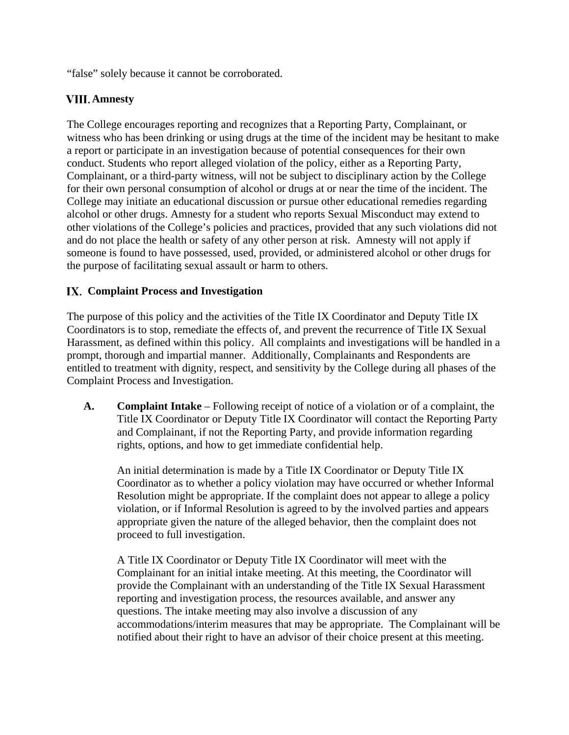"false" solely because it cannot be corroborated.

# **Amnesty**

The College encourages reporting and recognizes that a Reporting Party, Complainant, or witness who has been drinking or using drugs at the time of the incident may be hesitant to make a report or participate in an investigation because of potential consequences for their own conduct. Students who report alleged violation of the policy, either as a Reporting Party, Complainant, or a third-party witness, will not be subject to disciplinary action by the College for their own personal consumption of alcohol or drugs at or near the time of the incident. The College may initiate an educational discussion or pursue other educational remedies regarding alcohol or other drugs. Amnesty for a student who reports Sexual Misconduct may extend to other violations of the College's policies and practices, provided that any such violations did not and do not place the health or safety of any other person at risk. Amnesty will not apply if someone is found to have possessed, used, provided, or administered alcohol or other drugs for the purpose of facilitating sexual assault or harm to others.

# **Complaint Process and Investigation**

The purpose of this policy and the activities of the Title IX Coordinator and Deputy Title IX Coordinators is to stop, remediate the effects of, and prevent the recurrence of Title IX Sexual Harassment, as defined within this policy. All complaints and investigations will be handled in a prompt, thorough and impartial manner. Additionally, Complainants and Respondents are entitled to treatment with dignity, respect, and sensitivity by the College during all phases of the Complaint Process and Investigation.

**A. Complaint Intake** – Following receipt of notice of a violation or of a complaint, the Title IX Coordinator or Deputy Title IX Coordinator will contact the Reporting Party and Complainant, if not the Reporting Party, and provide information regarding rights, options, and how to get immediate confidential help.

An initial determination is made by a Title IX Coordinator or Deputy Title IX Coordinator as to whether a policy violation may have occurred or whether Informal Resolution might be appropriate. If the complaint does not appear to allege a policy violation, or if Informal Resolution is agreed to by the involved parties and appears appropriate given the nature of the alleged behavior, then the complaint does not proceed to full investigation.

A Title IX Coordinator or Deputy Title IX Coordinator will meet with the Complainant for an initial intake meeting. At this meeting, the Coordinator will provide the Complainant with an understanding of the Title IX Sexual Harassment reporting and investigation process, the resources available, and answer any questions. The intake meeting may also involve a discussion of any accommodations/interim measures that may be appropriate. The Complainant will be notified about their right to have an advisor of their choice present at this meeting.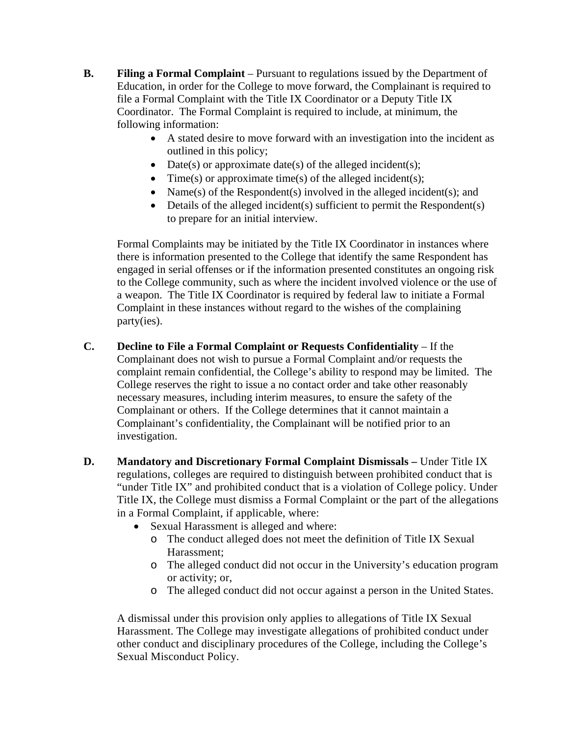- **B. Filing a Formal Complaint** Pursuant to regulations issued by the Department of Education, in order for the College to move forward, the Complainant is required to file a Formal Complaint with the Title IX Coordinator or a Deputy Title IX Coordinator. The Formal Complaint is required to include, at minimum, the following information:
	- A stated desire to move forward with an investigation into the incident as outlined in this policy;
	- Date(s) or approximate date(s) of the alleged incident(s);
	- Time(s) or approximate time(s) of the alleged incident(s);
	- Name(s) of the Respondent(s) involved in the alleged incident(s); and
	- Details of the alleged incident(s) sufficient to permit the Respondent(s) to prepare for an initial interview.

Formal Complaints may be initiated by the Title IX Coordinator in instances where there is information presented to the College that identify the same Respondent has engaged in serial offenses or if the information presented constitutes an ongoing risk to the College community, such as where the incident involved violence or the use of a weapon. The Title IX Coordinator is required by federal law to initiate a Formal Complaint in these instances without regard to the wishes of the complaining party(ies).

- **C. Decline to File a Formal Complaint or Requests Confidentiality** If the Complainant does not wish to pursue a Formal Complaint and/or requests the complaint remain confidential, the College's ability to respond may be limited. The College reserves the right to issue a no contact order and take other reasonably necessary measures, including interim measures, to ensure the safety of the Complainant or others. If the College determines that it cannot maintain a Complainant's confidentiality, the Complainant will be notified prior to an investigation.
- **D. Mandatory and Discretionary Formal Complaint Dismissals** Under Title IX regulations, colleges are required to distinguish between prohibited conduct that is "under Title IX" and prohibited conduct that is a violation of College policy. Under Title IX, the College must dismiss a Formal Complaint or the part of the allegations in a Formal Complaint, if applicable, where:
	- Sexual Harassment is alleged and where:
		- o The conduct alleged does not meet the definition of Title IX Sexual Harassment;
		- o The alleged conduct did not occur in the University's education program or activity; or,
		- o The alleged conduct did not occur against a person in the United States.

A dismissal under this provision only applies to allegations of Title IX Sexual Harassment. The College may investigate allegations of prohibited conduct under other conduct and disciplinary procedures of the College, including the College's Sexual Misconduct Policy.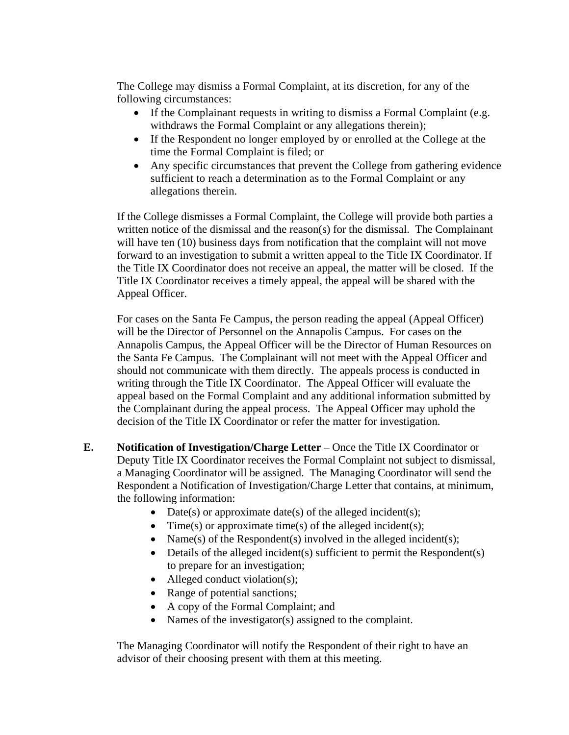The College may dismiss a Formal Complaint, at its discretion, for any of the following circumstances:

- If the Complainant requests in writing to dismiss a Formal Complaint (e.g. withdraws the Formal Complaint or any allegations therein);
- If the Respondent no longer employed by or enrolled at the College at the time the Formal Complaint is filed; or
- Any specific circumstances that prevent the College from gathering evidence sufficient to reach a determination as to the Formal Complaint or any allegations therein.

If the College dismisses a Formal Complaint, the College will provide both parties a written notice of the dismissal and the reason(s) for the dismissal. The Complainant will have ten (10) business days from notification that the complaint will not move forward to an investigation to submit a written appeal to the Title IX Coordinator. If the Title IX Coordinator does not receive an appeal, the matter will be closed. If the Title IX Coordinator receives a timely appeal, the appeal will be shared with the Appeal Officer.

For cases on the Santa Fe Campus, the person reading the appeal (Appeal Officer) will be the Director of Personnel on the Annapolis Campus. For cases on the Annapolis Campus, the Appeal Officer will be the Director of Human Resources on the Santa Fe Campus. The Complainant will not meet with the Appeal Officer and should not communicate with them directly. The appeals process is conducted in writing through the Title IX Coordinator. The Appeal Officer will evaluate the appeal based on the Formal Complaint and any additional information submitted by the Complainant during the appeal process. The Appeal Officer may uphold the decision of the Title IX Coordinator or refer the matter for investigation.

- **E. Notification of Investigation/Charge Letter** Once the Title IX Coordinator or Deputy Title IX Coordinator receives the Formal Complaint not subject to dismissal, a Managing Coordinator will be assigned. The Managing Coordinator will send the Respondent a Notification of Investigation/Charge Letter that contains, at minimum, the following information:
	- Date(s) or approximate date(s) of the alleged incident(s);
	- Time(s) or approximate time(s) of the alleged incident(s);
	- Name(s) of the Respondent(s) involved in the alleged incident(s);
	- Details of the alleged incident(s) sufficient to permit the Respondent(s) to prepare for an investigation;
	- Alleged conduct violation(s);
	- Range of potential sanctions;
	- A copy of the Formal Complaint; and
	- Names of the investigator(s) assigned to the complaint.

The Managing Coordinator will notify the Respondent of their right to have an advisor of their choosing present with them at this meeting.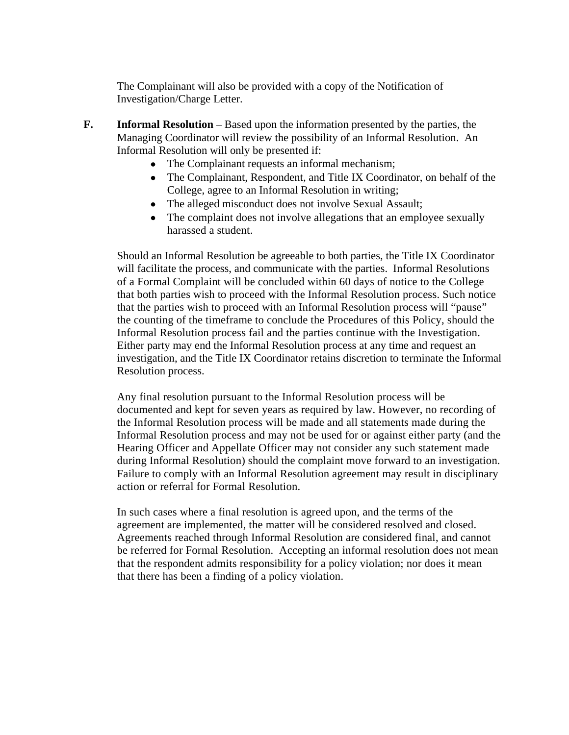The Complainant will also be provided with a copy of the Notification of Investigation/Charge Letter.

- **F. Informal Resolution** Based upon the information presented by the parties, the Managing Coordinator will review the possibility of an Informal Resolution. An Informal Resolution will only be presented if:
	- The Complainant requests an informal mechanism;
	- The Complainant, Respondent, and Title IX Coordinator, on behalf of the College, agree to an Informal Resolution in writing;
	- The alleged misconduct does not involve Sexual Assault;
	- The complaint does not involve allegations that an employee sexually harassed a student.

Should an Informal Resolution be agreeable to both parties, the Title IX Coordinator will facilitate the process, and communicate with the parties. Informal Resolutions of a Formal Complaint will be concluded within 60 days of notice to the College that both parties wish to proceed with the Informal Resolution process. Such notice that the parties wish to proceed with an Informal Resolution process will "pause" the counting of the timeframe to conclude the Procedures of this Policy, should the Informal Resolution process fail and the parties continue with the Investigation. Either party may end the Informal Resolution process at any time and request an investigation, and the Title IX Coordinator retains discretion to terminate the Informal Resolution process.

Any final resolution pursuant to the Informal Resolution process will be documented and kept for seven years as required by law. However, no recording of the Informal Resolution process will be made and all statements made during the Informal Resolution process and may not be used for or against either party (and the Hearing Officer and Appellate Officer may not consider any such statement made during Informal Resolution) should the complaint move forward to an investigation. Failure to comply with an Informal Resolution agreement may result in disciplinary action or referral for Formal Resolution.

In such cases where a final resolution is agreed upon, and the terms of the agreement are implemented, the matter will be considered resolved and closed. Agreements reached through Informal Resolution are considered final, and cannot be referred for Formal Resolution. Accepting an informal resolution does not mean that the respondent admits responsibility for a policy violation; nor does it mean that there has been a finding of a policy violation.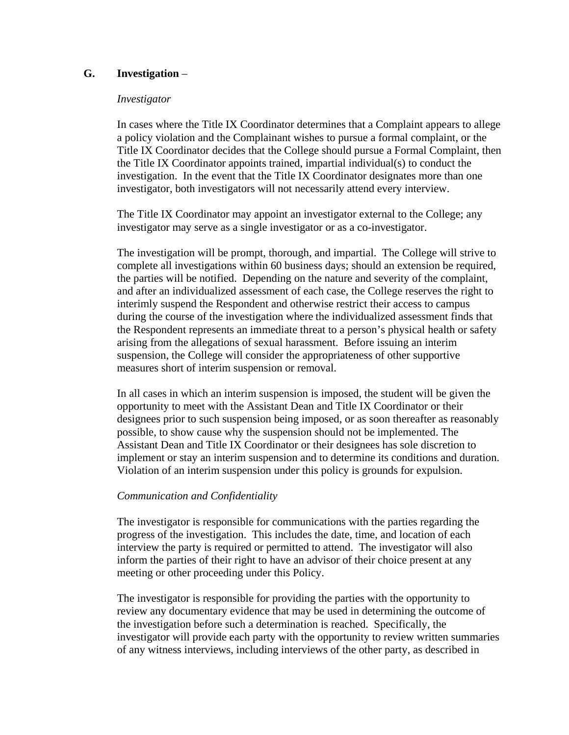### **G. Investigation** –

### *Investigator*

In cases where the Title IX Coordinator determines that a Complaint appears to allege a policy violation and the Complainant wishes to pursue a formal complaint, or the Title IX Coordinator decides that the College should pursue a Formal Complaint, then the Title IX Coordinator appoints trained, impartial individual(s) to conduct the investigation. In the event that the Title IX Coordinator designates more than one investigator, both investigators will not necessarily attend every interview.

The Title IX Coordinator may appoint an investigator external to the College; any investigator may serve as a single investigator or as a co-investigator.

The investigation will be prompt, thorough, and impartial. The College will strive to complete all investigations within 60 business days; should an extension be required, the parties will be notified. Depending on the nature and severity of the complaint, and after an individualized assessment of each case, the College reserves the right to interimly suspend the Respondent and otherwise restrict their access to campus during the course of the investigation where the individualized assessment finds that the Respondent represents an immediate threat to a person's physical health or safety arising from the allegations of sexual harassment. Before issuing an interim suspension, the College will consider the appropriateness of other supportive measures short of interim suspension or removal.

In all cases in which an interim suspension is imposed, the student will be given the opportunity to meet with the Assistant Dean and Title IX Coordinator or their designees prior to such suspension being imposed, or as soon thereafter as reasonably possible, to show cause why the suspension should not be implemented. The Assistant Dean and Title IX Coordinator or their designees has sole discretion to implement or stay an interim suspension and to determine its conditions and duration. Violation of an interim suspension under this policy is grounds for expulsion.

### *Communication and Confidentiality*

The investigator is responsible for communications with the parties regarding the progress of the investigation. This includes the date, time, and location of each interview the party is required or permitted to attend. The investigator will also inform the parties of their right to have an advisor of their choice present at any meeting or other proceeding under this Policy.

The investigator is responsible for providing the parties with the opportunity to review any documentary evidence that may be used in determining the outcome of the investigation before such a determination is reached. Specifically, the investigator will provide each party with the opportunity to review written summaries of any witness interviews, including interviews of the other party, as described in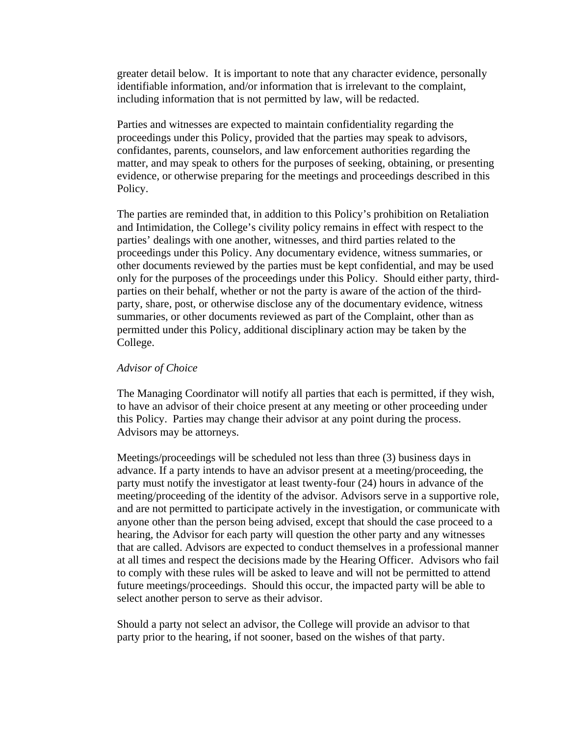greater detail below. It is important to note that any character evidence, personally identifiable information, and/or information that is irrelevant to the complaint, including information that is not permitted by law, will be redacted.

Parties and witnesses are expected to maintain confidentiality regarding the proceedings under this Policy, provided that the parties may speak to advisors, confidantes, parents, counselors, and law enforcement authorities regarding the matter, and may speak to others for the purposes of seeking, obtaining, or presenting evidence, or otherwise preparing for the meetings and proceedings described in this Policy.

The parties are reminded that, in addition to this Policy's prohibition on Retaliation and Intimidation, the College's civility policy remains in effect with respect to the parties' dealings with one another, witnesses, and third parties related to the proceedings under this Policy. Any documentary evidence, witness summaries, or other documents reviewed by the parties must be kept confidential, and may be used only for the purposes of the proceedings under this Policy. Should either party, thirdparties on their behalf, whether or not the party is aware of the action of the thirdparty, share, post, or otherwise disclose any of the documentary evidence, witness summaries, or other documents reviewed as part of the Complaint, other than as permitted under this Policy, additional disciplinary action may be taken by the College.

#### *Advisor of Choice*

The Managing Coordinator will notify all parties that each is permitted, if they wish, to have an advisor of their choice present at any meeting or other proceeding under this Policy. Parties may change their advisor at any point during the process. Advisors may be attorneys.

Meetings/proceedings will be scheduled not less than three (3) business days in advance. If a party intends to have an advisor present at a meeting/proceeding, the party must notify the investigator at least twenty-four (24) hours in advance of the meeting/proceeding of the identity of the advisor. Advisors serve in a supportive role, and are not permitted to participate actively in the investigation, or communicate with anyone other than the person being advised, except that should the case proceed to a hearing, the Advisor for each party will question the other party and any witnesses that are called. Advisors are expected to conduct themselves in a professional manner at all times and respect the decisions made by the Hearing Officer. Advisors who fail to comply with these rules will be asked to leave and will not be permitted to attend future meetings/proceedings. Should this occur, the impacted party will be able to select another person to serve as their advisor.

Should a party not select an advisor, the College will provide an advisor to that party prior to the hearing, if not sooner, based on the wishes of that party.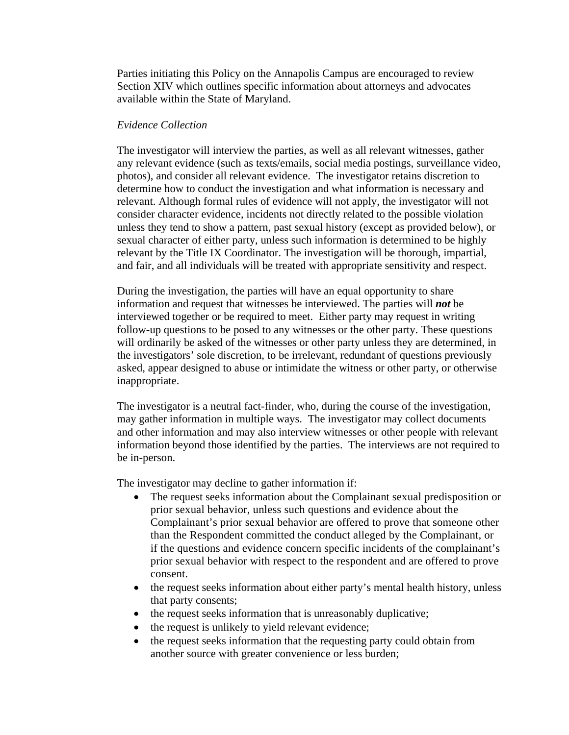Parties initiating this Policy on the Annapolis Campus are encouraged to review Section XIV which outlines specific information about attorneys and advocates available within the State of Maryland.

#### *Evidence Collection*

The investigator will interview the parties, as well as all relevant witnesses, gather any relevant evidence (such as texts/emails, social media postings, surveillance video, photos), and consider all relevant evidence. The investigator retains discretion to determine how to conduct the investigation and what information is necessary and relevant. Although formal rules of evidence will not apply, the investigator will not consider character evidence, incidents not directly related to the possible violation unless they tend to show a pattern, past sexual history (except as provided below), or sexual character of either party, unless such information is determined to be highly relevant by the Title IX Coordinator. The investigation will be thorough, impartial, and fair, and all individuals will be treated with appropriate sensitivity and respect.

During the investigation, the parties will have an equal opportunity to share information and request that witnesses be interviewed. The parties will *not* be interviewed together or be required to meet. Either party may request in writing follow-up questions to be posed to any witnesses or the other party. These questions will ordinarily be asked of the witnesses or other party unless they are determined, in the investigators' sole discretion, to be irrelevant, redundant of questions previously asked, appear designed to abuse or intimidate the witness or other party, or otherwise inappropriate.

The investigator is a neutral fact-finder, who, during the course of the investigation, may gather information in multiple ways. The investigator may collect documents and other information and may also interview witnesses or other people with relevant information beyond those identified by the parties. The interviews are not required to be in-person.

The investigator may decline to gather information if:

- The request seeks information about the Complainant sexual predisposition or prior sexual behavior, unless such questions and evidence about the Complainant's prior sexual behavior are offered to prove that someone other than the Respondent committed the conduct alleged by the Complainant, or if the questions and evidence concern specific incidents of the complainant's prior sexual behavior with respect to the respondent and are offered to prove consent.
- the request seeks information about either party's mental health history, unless that party consents;
- the request seeks information that is unreasonably duplicative;
- the request is unlikely to yield relevant evidence;
- the request seeks information that the requesting party could obtain from another source with greater convenience or less burden;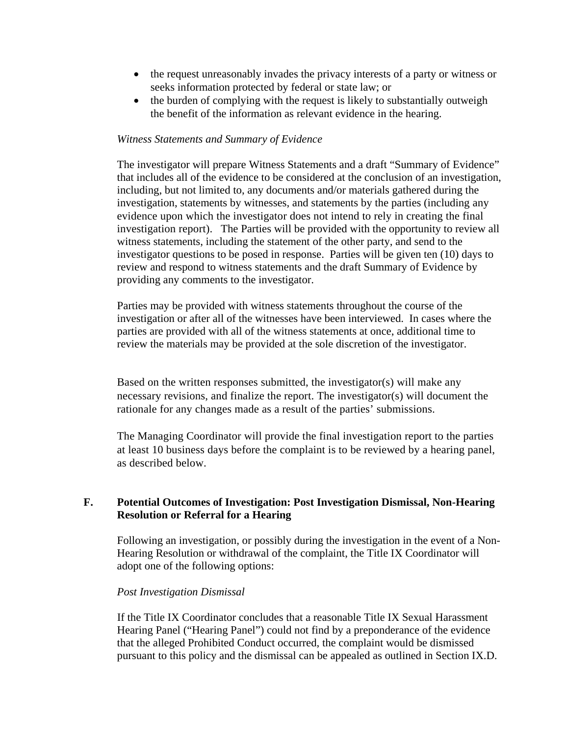- the request unreasonably invades the privacy interests of a party or witness or seeks information protected by federal or state law; or
- the burden of complying with the request is likely to substantially outweigh the benefit of the information as relevant evidence in the hearing.

### *Witness Statements and Summary of Evidence*

The investigator will prepare Witness Statements and a draft "Summary of Evidence" that includes all of the evidence to be considered at the conclusion of an investigation, including, but not limited to, any documents and/or materials gathered during the investigation, statements by witnesses, and statements by the parties (including any evidence upon which the investigator does not intend to rely in creating the final investigation report). The Parties will be provided with the opportunity to review all witness statements, including the statement of the other party, and send to the investigator questions to be posed in response. Parties will be given ten (10) days to review and respond to witness statements and the draft Summary of Evidence by providing any comments to the investigator.

Parties may be provided with witness statements throughout the course of the investigation or after all of the witnesses have been interviewed. In cases where the parties are provided with all of the witness statements at once, additional time to review the materials may be provided at the sole discretion of the investigator.

Based on the written responses submitted, the investigator(s) will make any necessary revisions, and finalize the report. The investigator(s) will document the rationale for any changes made as a result of the parties' submissions.

The Managing Coordinator will provide the final investigation report to the parties at least 10 business days before the complaint is to be reviewed by a hearing panel, as described below.

### **F. Potential Outcomes of Investigation: Post Investigation Dismissal, Non-Hearing Resolution or Referral for a Hearing**

Following an investigation, or possibly during the investigation in the event of a Non-Hearing Resolution or withdrawal of the complaint, the Title IX Coordinator will adopt one of the following options:

#### *Post Investigation Dismissal*

If the Title IX Coordinator concludes that a reasonable Title IX Sexual Harassment Hearing Panel ("Hearing Panel") could not find by a preponderance of the evidence that the alleged Prohibited Conduct occurred, the complaint would be dismissed pursuant to this policy and the dismissal can be appealed as outlined in Section IX.D.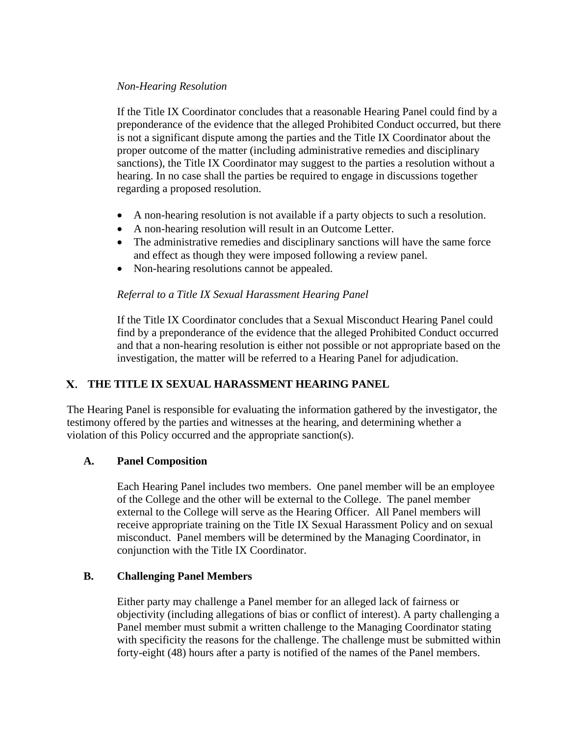### *Non-Hearing Resolution*

If the Title IX Coordinator concludes that a reasonable Hearing Panel could find by a preponderance of the evidence that the alleged Prohibited Conduct occurred, but there is not a significant dispute among the parties and the Title IX Coordinator about the proper outcome of the matter (including administrative remedies and disciplinary sanctions), the Title IX Coordinator may suggest to the parties a resolution without a hearing. In no case shall the parties be required to engage in discussions together regarding a proposed resolution.

- A non-hearing resolution is not available if a party objects to such a resolution.
- A non-hearing resolution will result in an Outcome Letter.
- The administrative remedies and disciplinary sanctions will have the same force and effect as though they were imposed following a review panel.
- Non-hearing resolutions cannot be appealed.

# *Referral to a Title IX Sexual Harassment Hearing Panel*

If the Title IX Coordinator concludes that a Sexual Misconduct Hearing Panel could find by a preponderance of the evidence that the alleged Prohibited Conduct occurred and that a non-hearing resolution is either not possible or not appropriate based on the investigation, the matter will be referred to a Hearing Panel for adjudication.

# **THE TITLE IX SEXUAL HARASSMENT HEARING PANEL**

The Hearing Panel is responsible for evaluating the information gathered by the investigator, the testimony offered by the parties and witnesses at the hearing, and determining whether a violation of this Policy occurred and the appropriate sanction(s).

### **A. Panel Composition**

Each Hearing Panel includes two members. One panel member will be an employee of the College and the other will be external to the College. The panel member external to the College will serve as the Hearing Officer. All Panel members will receive appropriate training on the Title IX Sexual Harassment Policy and on sexual misconduct. Panel members will be determined by the Managing Coordinator, in conjunction with the Title IX Coordinator.

### **B. Challenging Panel Members**

Either party may challenge a Panel member for an alleged lack of fairness or objectivity (including allegations of bias or conflict of interest). A party challenging a Panel member must submit a written challenge to the Managing Coordinator stating with specificity the reasons for the challenge. The challenge must be submitted within forty-eight (48) hours after a party is notified of the names of the Panel members.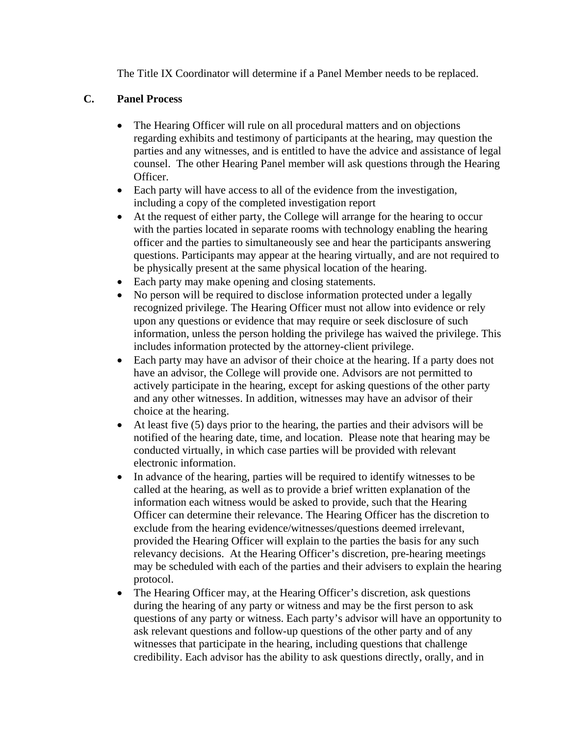The Title IX Coordinator will determine if a Panel Member needs to be replaced.

# **C. Panel Process**

- The Hearing Officer will rule on all procedural matters and on objections regarding exhibits and testimony of participants at the hearing, may question the parties and any witnesses, and is entitled to have the advice and assistance of legal counsel. The other Hearing Panel member will ask questions through the Hearing Officer.
- Each party will have access to all of the evidence from the investigation, including a copy of the completed investigation report
- At the request of either party, the College will arrange for the hearing to occur with the parties located in separate rooms with technology enabling the hearing officer and the parties to simultaneously see and hear the participants answering questions. Participants may appear at the hearing virtually, and are not required to be physically present at the same physical location of the hearing.
- Each party may make opening and closing statements.
- No person will be required to disclose information protected under a legally recognized privilege. The Hearing Officer must not allow into evidence or rely upon any questions or evidence that may require or seek disclosure of such information, unless the person holding the privilege has waived the privilege. This includes information protected by the attorney-client privilege.
- Each party may have an advisor of their choice at the hearing. If a party does not have an advisor, the College will provide one. Advisors are not permitted to actively participate in the hearing, except for asking questions of the other party and any other witnesses. In addition, witnesses may have an advisor of their choice at the hearing.
- At least five (5) days prior to the hearing, the parties and their advisors will be notified of the hearing date, time, and location. Please note that hearing may be conducted virtually, in which case parties will be provided with relevant electronic information.
- In advance of the hearing, parties will be required to identify witnesses to be called at the hearing, as well as to provide a brief written explanation of the information each witness would be asked to provide, such that the Hearing Officer can determine their relevance. The Hearing Officer has the discretion to exclude from the hearing evidence/witnesses/questions deemed irrelevant, provided the Hearing Officer will explain to the parties the basis for any such relevancy decisions. At the Hearing Officer's discretion, pre-hearing meetings may be scheduled with each of the parties and their advisers to explain the hearing protocol.
- The Hearing Officer may, at the Hearing Officer's discretion, ask questions during the hearing of any party or witness and may be the first person to ask questions of any party or witness. Each party's advisor will have an opportunity to ask relevant questions and follow-up questions of the other party and of any witnesses that participate in the hearing, including questions that challenge credibility. Each advisor has the ability to ask questions directly, orally, and in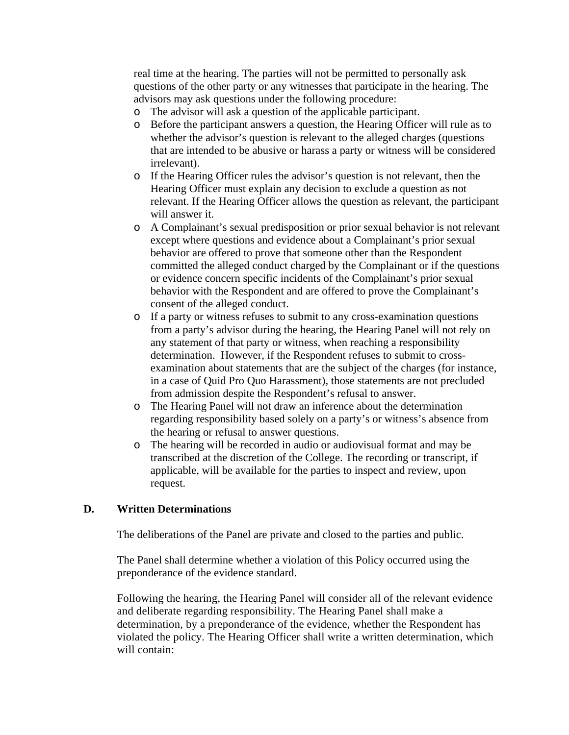real time at the hearing. The parties will not be permitted to personally ask questions of the other party or any witnesses that participate in the hearing. The advisors may ask questions under the following procedure:

- o The advisor will ask a question of the applicable participant.
- o Before the participant answers a question, the Hearing Officer will rule as to whether the advisor's question is relevant to the alleged charges (questions that are intended to be abusive or harass a party or witness will be considered irrelevant).
- o If the Hearing Officer rules the advisor's question is not relevant, then the Hearing Officer must explain any decision to exclude a question as not relevant. If the Hearing Officer allows the question as relevant, the participant will answer it.
- o A Complainant's sexual predisposition or prior sexual behavior is not relevant except where questions and evidence about a Complainant's prior sexual behavior are offered to prove that someone other than the Respondent committed the alleged conduct charged by the Complainant or if the questions or evidence concern specific incidents of the Complainant's prior sexual behavior with the Respondent and are offered to prove the Complainant's consent of the alleged conduct.
- o If a party or witness refuses to submit to any cross-examination questions from a party's advisor during the hearing, the Hearing Panel will not rely on any statement of that party or witness, when reaching a responsibility determination. However, if the Respondent refuses to submit to crossexamination about statements that are the subject of the charges (for instance, in a case of Quid Pro Quo Harassment), those statements are not precluded from admission despite the Respondent's refusal to answer.
- o The Hearing Panel will not draw an inference about the determination regarding responsibility based solely on a party's or witness's absence from the hearing or refusal to answer questions.
- o The hearing will be recorded in audio or audiovisual format and may be transcribed at the discretion of the College. The recording or transcript, if applicable, will be available for the parties to inspect and review, upon request.

### **D. Written Determinations**

The deliberations of the Panel are private and closed to the parties and public.

The Panel shall determine whether a violation of this Policy occurred using the preponderance of the evidence standard.

Following the hearing, the Hearing Panel will consider all of the relevant evidence and deliberate regarding responsibility. The Hearing Panel shall make a determination, by a preponderance of the evidence, whether the Respondent has violated the policy. The Hearing Officer shall write a written determination, which will contain: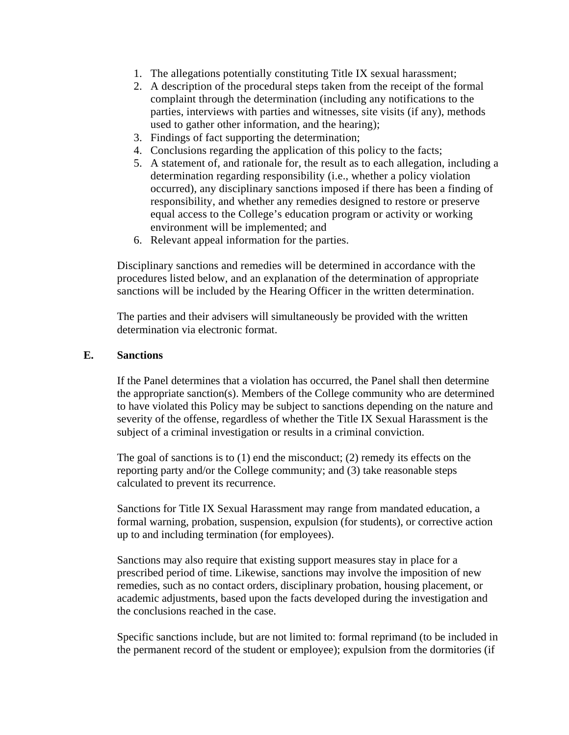- 1. The allegations potentially constituting Title IX sexual harassment;
- 2. A description of the procedural steps taken from the receipt of the formal complaint through the determination (including any notifications to the parties, interviews with parties and witnesses, site visits (if any), methods used to gather other information, and the hearing);
- 3. Findings of fact supporting the determination;
- 4. Conclusions regarding the application of this policy to the facts;
- 5. A statement of, and rationale for, the result as to each allegation, including a determination regarding responsibility (i.e., whether a policy violation occurred), any disciplinary sanctions imposed if there has been a finding of responsibility, and whether any remedies designed to restore or preserve equal access to the College's education program or activity or working environment will be implemented; and
- 6. Relevant appeal information for the parties.

Disciplinary sanctions and remedies will be determined in accordance with the procedures listed below, and an explanation of the determination of appropriate sanctions will be included by the Hearing Officer in the written determination.

The parties and their advisers will simultaneously be provided with the written determination via electronic format.

#### **E. Sanctions**

If the Panel determines that a violation has occurred, the Panel shall then determine the appropriate sanction(s). Members of the College community who are determined to have violated this Policy may be subject to sanctions depending on the nature and severity of the offense, regardless of whether the Title IX Sexual Harassment is the subject of a criminal investigation or results in a criminal conviction.

The goal of sanctions is to  $(1)$  end the misconduct;  $(2)$  remedy its effects on the reporting party and/or the College community; and (3) take reasonable steps calculated to prevent its recurrence.

Sanctions for Title IX Sexual Harassment may range from mandated education, a formal warning, probation, suspension, expulsion (for students), or corrective action up to and including termination (for employees).

Sanctions may also require that existing support measures stay in place for a prescribed period of time. Likewise, sanctions may involve the imposition of new remedies, such as no contact orders, disciplinary probation, housing placement, or academic adjustments, based upon the facts developed during the investigation and the conclusions reached in the case.

Specific sanctions include, but are not limited to: formal reprimand (to be included in the permanent record of the student or employee); expulsion from the dormitories (if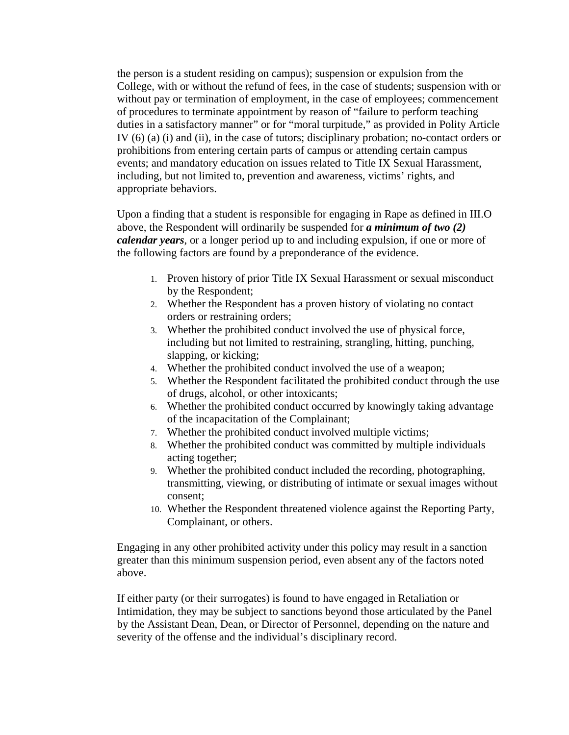the person is a student residing on campus); suspension or expulsion from the College, with or without the refund of fees, in the case of students; suspension with or without pay or termination of employment, in the case of employees; commencement of procedures to terminate appointment by reason of "failure to perform teaching duties in a satisfactory manner" or for "moral turpitude," as provided in Polity Article IV (6) (a) (i) and (ii), in the case of tutors; disciplinary probation; no-contact orders or prohibitions from entering certain parts of campus or attending certain campus events; and mandatory education on issues related to Title IX Sexual Harassment, including, but not limited to, prevention and awareness, victims' rights, and appropriate behaviors.

Upon a finding that a student is responsible for engaging in Rape as defined in III.O above, the Respondent will ordinarily be suspended for *a minimum of two (2) calendar years*, or a longer period up to and including expulsion, if one or more of the following factors are found by a preponderance of the evidence.

- 1. Proven history of prior Title IX Sexual Harassment or sexual misconduct by the Respondent;
- 2. Whether the Respondent has a proven history of violating no contact orders or restraining orders;
- 3. Whether the prohibited conduct involved the use of physical force, including but not limited to restraining, strangling, hitting, punching, slapping, or kicking;
- 4. Whether the prohibited conduct involved the use of a weapon;
- 5. Whether the Respondent facilitated the prohibited conduct through the use of drugs, alcohol, or other intoxicants;
- 6. Whether the prohibited conduct occurred by knowingly taking advantage of the incapacitation of the Complainant;
- 7. Whether the prohibited conduct involved multiple victims;
- 8. Whether the prohibited conduct was committed by multiple individuals acting together;
- 9. Whether the prohibited conduct included the recording, photographing, transmitting, viewing, or distributing of intimate or sexual images without consent;
- 10. Whether the Respondent threatened violence against the Reporting Party, Complainant, or others.

Engaging in any other prohibited activity under this policy may result in a sanction greater than this minimum suspension period, even absent any of the factors noted above.

If either party (or their surrogates) is found to have engaged in Retaliation or Intimidation, they may be subject to sanctions beyond those articulated by the Panel by the Assistant Dean, Dean, or Director of Personnel, depending on the nature and severity of the offense and the individual's disciplinary record.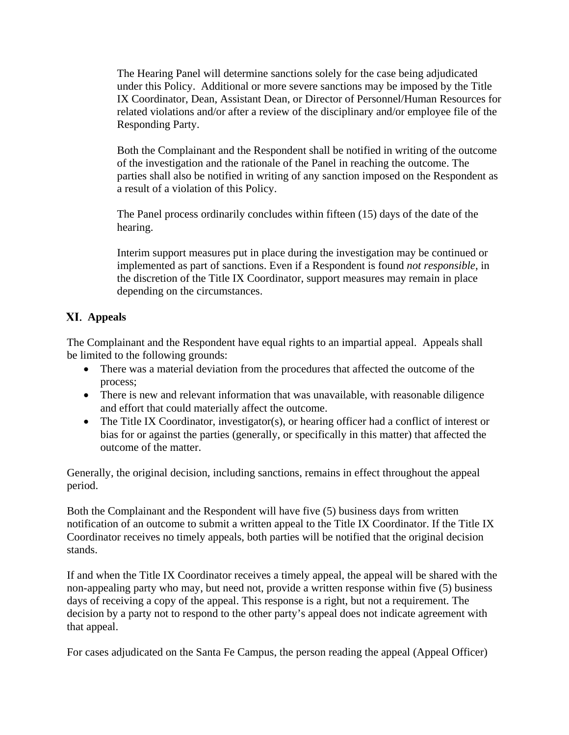The Hearing Panel will determine sanctions solely for the case being adjudicated under this Policy. Additional or more severe sanctions may be imposed by the Title IX Coordinator, Dean, Assistant Dean, or Director of Personnel/Human Resources for related violations and/or after a review of the disciplinary and/or employee file of the Responding Party.

Both the Complainant and the Respondent shall be notified in writing of the outcome of the investigation and the rationale of the Panel in reaching the outcome. The parties shall also be notified in writing of any sanction imposed on the Respondent as a result of a violation of this Policy.

The Panel process ordinarily concludes within fifteen (15) days of the date of the hearing.

Interim support measures put in place during the investigation may be continued or implemented as part of sanctions. Even if a Respondent is found *not responsible*, in the discretion of the Title IX Coordinator, support measures may remain in place depending on the circumstances.

# **Appeals**

The Complainant and the Respondent have equal rights to an impartial appeal. Appeals shall be limited to the following grounds:

- There was a material deviation from the procedures that affected the outcome of the process;
- There is new and relevant information that was unavailable, with reasonable diligence and effort that could materially affect the outcome.
- The Title IX Coordinator, investigator(s), or hearing officer had a conflict of interest or bias for or against the parties (generally, or specifically in this matter) that affected the outcome of the matter.

Generally, the original decision, including sanctions, remains in effect throughout the appeal period.

Both the Complainant and the Respondent will have five (5) business days from written notification of an outcome to submit a written appeal to the Title IX Coordinator. If the Title IX Coordinator receives no timely appeals, both parties will be notified that the original decision stands.

If and when the Title IX Coordinator receives a timely appeal, the appeal will be shared with the non-appealing party who may, but need not, provide a written response within five (5) business days of receiving a copy of the appeal. This response is a right, but not a requirement. The decision by a party not to respond to the other party's appeal does not indicate agreement with that appeal.

For cases adjudicated on the Santa Fe Campus, the person reading the appeal (Appeal Officer)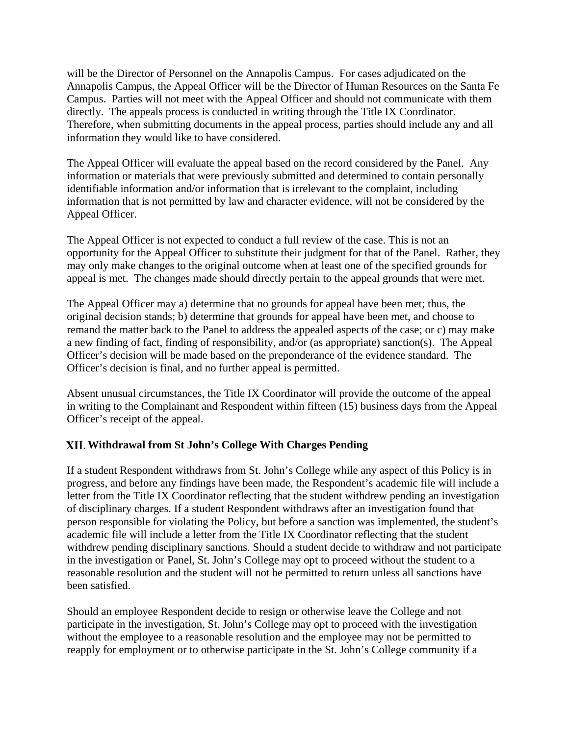will be the Director of Personnel on the Annapolis Campus. For cases adjudicated on the Annapolis Campus, the Appeal Officer will be the Director of Human Resources on the Santa Fe Campus. Parties will not meet with the Appeal Officer and should not communicate with them directly. The appeals process is conducted in writing through the Title IX Coordinator. Therefore, when submitting documents in the appeal process, parties should include any and all information they would like to have considered.

The Appeal Officer will evaluate the appeal based on the record considered by the Panel. Any information or materials that were previously submitted and determined to contain personally identifiable information and/or information that is irrelevant to the complaint, including information that is not permitted by law and character evidence, will not be considered by the Appeal Officer.

The Appeal Officer is not expected to conduct a full review of the case. This is not an opportunity for the Appeal Officer to substitute their judgment for that of the Panel. Rather, they may only make changes to the original outcome when at least one of the specified grounds for appeal is met. The changes made should directly pertain to the appeal grounds that were met.

The Appeal Officer may a) determine that no grounds for appeal have been met; thus, the original decision stands; b) determine that grounds for appeal have been met, and choose to remand the matter back to the Panel to address the appealed aspects of the case; or c) may make a new finding of fact, finding of responsibility, and/or (as appropriate) sanction(s). The Appeal Officer's decision will be made based on the preponderance of the evidence standard. The Officer's decision is final, and no further appeal is permitted.

Absent unusual circumstances, the Title IX Coordinator will provide the outcome of the appeal in writing to the Complainant and Respondent within fifteen (15) business days from the Appeal Officer's receipt of the appeal.

### **Withdrawal from St John's College With Charges Pending**

If a student Respondent withdraws from St. John's College while any aspect of this Policy is in progress, and before any findings have been made, the Respondent's academic file will include a letter from the Title IX Coordinator reflecting that the student withdrew pending an investigation of disciplinary charges. If a student Respondent withdraws after an investigation found that person responsible for violating the Policy, but before a sanction was implemented, the student's academic file will include a letter from the Title IX Coordinator reflecting that the student withdrew pending disciplinary sanctions. Should a student decide to withdraw and not participate in the investigation or Panel, St. John's College may opt to proceed without the student to a reasonable resolution and the student will not be permitted to return unless all sanctions have been satisfied.

Should an employee Respondent decide to resign or otherwise leave the College and not participate in the investigation, St. John's College may opt to proceed with the investigation without the employee to a reasonable resolution and the employee may not be permitted to reapply for employment or to otherwise participate in the St. John's College community if a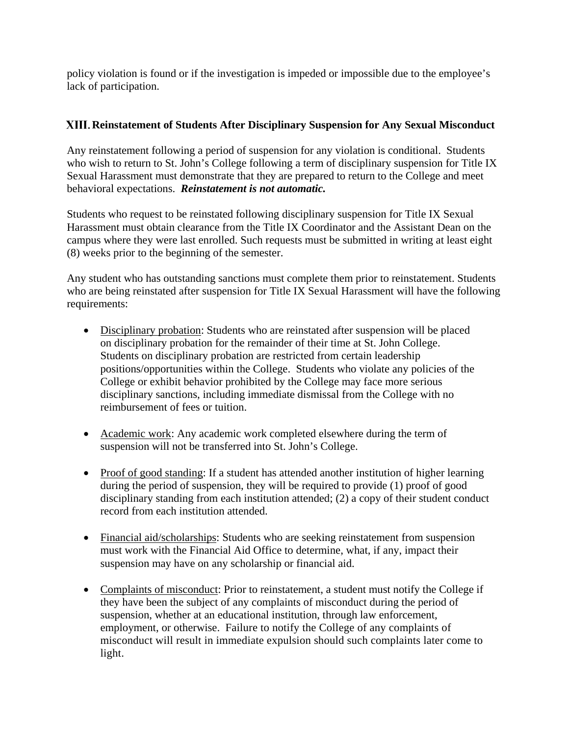policy violation is found or if the investigation is impeded or impossible due to the employee's lack of participation.

### **Reinstatement of Students After Disciplinary Suspension for Any Sexual Misconduct**

Any reinstatement following a period of suspension for any violation is conditional. Students who wish to return to St. John's College following a term of disciplinary suspension for Title IX Sexual Harassment must demonstrate that they are prepared to return to the College and meet behavioral expectations. *Reinstatement is not automatic.*

Students who request to be reinstated following disciplinary suspension for Title IX Sexual Harassment must obtain clearance from the Title IX Coordinator and the Assistant Dean on the campus where they were last enrolled. Such requests must be submitted in writing at least eight (8) weeks prior to the beginning of the semester.

Any student who has outstanding sanctions must complete them prior to reinstatement. Students who are being reinstated after suspension for Title IX Sexual Harassment will have the following requirements:

- Disciplinary probation: Students who are reinstated after suspension will be placed on disciplinary probation for the remainder of their time at St. John College. Students on disciplinary probation are restricted from certain leadership positions/opportunities within the College. Students who violate any policies of the College or exhibit behavior prohibited by the College may face more serious disciplinary sanctions, including immediate dismissal from the College with no reimbursement of fees or tuition.
- Academic work: Any academic work completed elsewhere during the term of suspension will not be transferred into St. John's College.
- Proof of good standing: If a student has attended another institution of higher learning during the period of suspension, they will be required to provide (1) proof of good disciplinary standing from each institution attended; (2) a copy of their student conduct record from each institution attended.
- Financial aid/scholarships: Students who are seeking reinstatement from suspension must work with the Financial Aid Office to determine, what, if any, impact their suspension may have on any scholarship or financial aid.
- Complaints of misconduct: Prior to reinstatement, a student must notify the College if they have been the subject of any complaints of misconduct during the period of suspension, whether at an educational institution, through law enforcement, employment, or otherwise. Failure to notify the College of any complaints of misconduct will result in immediate expulsion should such complaints later come to light.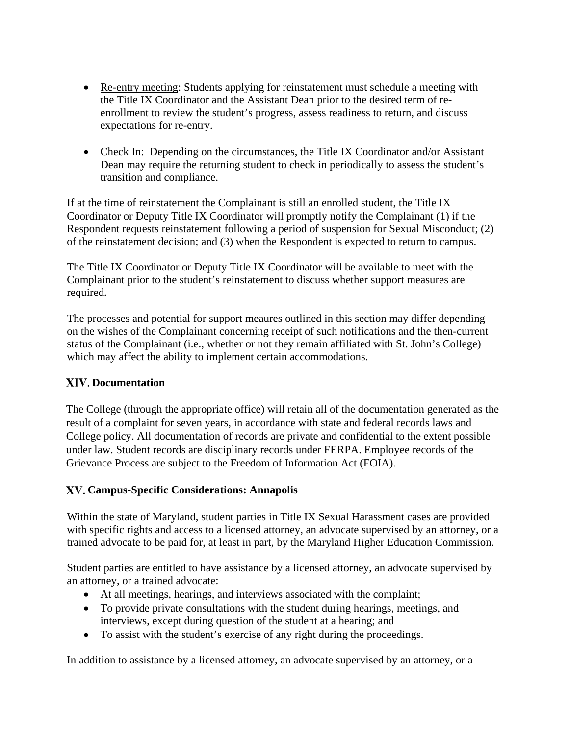- Re-entry meeting: Students applying for reinstatement must schedule a meeting with the Title IX Coordinator and the Assistant Dean prior to the desired term of reenrollment to review the student's progress, assess readiness to return, and discuss expectations for re-entry.
- Check In: Depending on the circumstances, the Title IX Coordinator and/or Assistant Dean may require the returning student to check in periodically to assess the student's transition and compliance.

If at the time of reinstatement the Complainant is still an enrolled student, the Title IX Coordinator or Deputy Title IX Coordinator will promptly notify the Complainant (1) if the Respondent requests reinstatement following a period of suspension for Sexual Misconduct; (2) of the reinstatement decision; and (3) when the Respondent is expected to return to campus.

The Title IX Coordinator or Deputy Title IX Coordinator will be available to meet with the Complainant prior to the student's reinstatement to discuss whether support measures are required.

The processes and potential for support meaures outlined in this section may differ depending on the wishes of the Complainant concerning receipt of such notifications and the then-current status of the Complainant (i.e., whether or not they remain affiliated with St. John's College) which may affect the ability to implement certain accommodations.

### **Documentation**

The College (through the appropriate office) will retain all of the documentation generated as the result of a complaint for seven years, in accordance with state and federal records laws and College policy. All documentation of records are private and confidential to the extent possible under law. Student records are disciplinary records under FERPA. Employee records of the Grievance Process are subject to the Freedom of Information Act (FOIA).

# **Campus-Specific Considerations: Annapolis**

Within the state of Maryland, student parties in Title IX Sexual Harassment cases are provided with specific rights and access to a licensed attorney, an advocate supervised by an attorney, or a trained advocate to be paid for, at least in part, by the Maryland Higher Education Commission.

Student parties are entitled to have assistance by a licensed attorney, an advocate supervised by an attorney, or a trained advocate:

- At all meetings, hearings, and interviews associated with the complaint;
- To provide private consultations with the student during hearings, meetings, and interviews, except during question of the student at a hearing; and
- To assist with the student's exercise of any right during the proceedings.

In addition to assistance by a licensed attorney, an advocate supervised by an attorney, or a